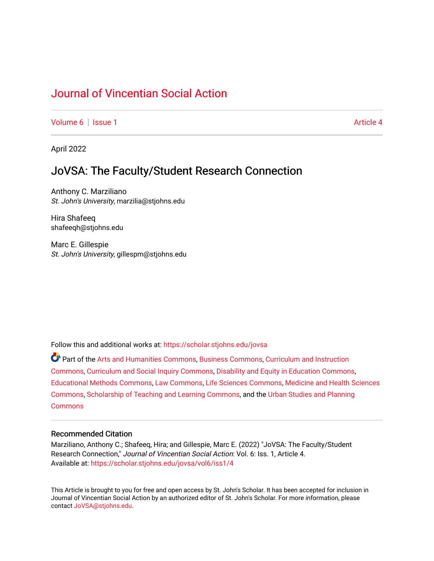# [Journal of Vincentian Social Action](https://scholar.stjohns.edu/jovsa)

[Volume 6](https://scholar.stjohns.edu/jovsa/vol6) | [Issue 1](https://scholar.stjohns.edu/jovsa/vol6/iss1) Article 4

April 2022

## JoVSA: The Faculty/Student Research Connection

Anthony C. Marziliano St. John's University, marzilia@stjohns.edu

Hira Shafeeq shafeeqh@stjohns.edu

Marc E. Gillespie St. John's University, gillespm@stjohns.edu

Follow this and additional works at: [https://scholar.stjohns.edu/jovsa](https://scholar.stjohns.edu/jovsa?utm_source=scholar.stjohns.edu%2Fjovsa%2Fvol6%2Fiss1%2F4&utm_medium=PDF&utm_campaign=PDFCoverPages) 

Part of the [Arts and Humanities Commons,](http://network.bepress.com/hgg/discipline/438?utm_source=scholar.stjohns.edu%2Fjovsa%2Fvol6%2Fiss1%2F4&utm_medium=PDF&utm_campaign=PDFCoverPages) [Business Commons](http://network.bepress.com/hgg/discipline/622?utm_source=scholar.stjohns.edu%2Fjovsa%2Fvol6%2Fiss1%2F4&utm_medium=PDF&utm_campaign=PDFCoverPages), [Curriculum and Instruction](http://network.bepress.com/hgg/discipline/786?utm_source=scholar.stjohns.edu%2Fjovsa%2Fvol6%2Fiss1%2F4&utm_medium=PDF&utm_campaign=PDFCoverPages)  [Commons](http://network.bepress.com/hgg/discipline/786?utm_source=scholar.stjohns.edu%2Fjovsa%2Fvol6%2Fiss1%2F4&utm_medium=PDF&utm_campaign=PDFCoverPages), [Curriculum and Social Inquiry Commons](http://network.bepress.com/hgg/discipline/1038?utm_source=scholar.stjohns.edu%2Fjovsa%2Fvol6%2Fiss1%2F4&utm_medium=PDF&utm_campaign=PDFCoverPages), [Disability and Equity in Education Commons,](http://network.bepress.com/hgg/discipline/1040?utm_source=scholar.stjohns.edu%2Fjovsa%2Fvol6%2Fiss1%2F4&utm_medium=PDF&utm_campaign=PDFCoverPages) [Educational Methods Commons,](http://network.bepress.com/hgg/discipline/1227?utm_source=scholar.stjohns.edu%2Fjovsa%2Fvol6%2Fiss1%2F4&utm_medium=PDF&utm_campaign=PDFCoverPages) [Law Commons,](http://network.bepress.com/hgg/discipline/578?utm_source=scholar.stjohns.edu%2Fjovsa%2Fvol6%2Fiss1%2F4&utm_medium=PDF&utm_campaign=PDFCoverPages) [Life Sciences Commons](http://network.bepress.com/hgg/discipline/1016?utm_source=scholar.stjohns.edu%2Fjovsa%2Fvol6%2Fiss1%2F4&utm_medium=PDF&utm_campaign=PDFCoverPages), [Medicine and Health Sciences](http://network.bepress.com/hgg/discipline/648?utm_source=scholar.stjohns.edu%2Fjovsa%2Fvol6%2Fiss1%2F4&utm_medium=PDF&utm_campaign=PDFCoverPages) [Commons](http://network.bepress.com/hgg/discipline/648?utm_source=scholar.stjohns.edu%2Fjovsa%2Fvol6%2Fiss1%2F4&utm_medium=PDF&utm_campaign=PDFCoverPages), [Scholarship of Teaching and Learning Commons](http://network.bepress.com/hgg/discipline/1328?utm_source=scholar.stjohns.edu%2Fjovsa%2Fvol6%2Fiss1%2F4&utm_medium=PDF&utm_campaign=PDFCoverPages), and the [Urban Studies and Planning](http://network.bepress.com/hgg/discipline/436?utm_source=scholar.stjohns.edu%2Fjovsa%2Fvol6%2Fiss1%2F4&utm_medium=PDF&utm_campaign=PDFCoverPages)  **[Commons](http://network.bepress.com/hgg/discipline/436?utm_source=scholar.stjohns.edu%2Fjovsa%2Fvol6%2Fiss1%2F4&utm_medium=PDF&utm_campaign=PDFCoverPages)** 

## Recommended Citation

Marziliano, Anthony C.; Shafeeq, Hira; and Gillespie, Marc E. (2022) "JoVSA: The Faculty/Student Research Connection," Journal of Vincentian Social Action: Vol. 6: Iss. 1, Article 4. Available at: [https://scholar.stjohns.edu/jovsa/vol6/iss1/4](https://scholar.stjohns.edu/jovsa/vol6/iss1/4?utm_source=scholar.stjohns.edu%2Fjovsa%2Fvol6%2Fiss1%2F4&utm_medium=PDF&utm_campaign=PDFCoverPages) 

This Article is brought to you for free and open access by St. John's Scholar. It has been accepted for inclusion in Journal of Vincentian Social Action by an authorized editor of St. John's Scholar. For more information, please contact [JoVSA@stjohns.edu](mailto:JoVSA@stjohns.edu).